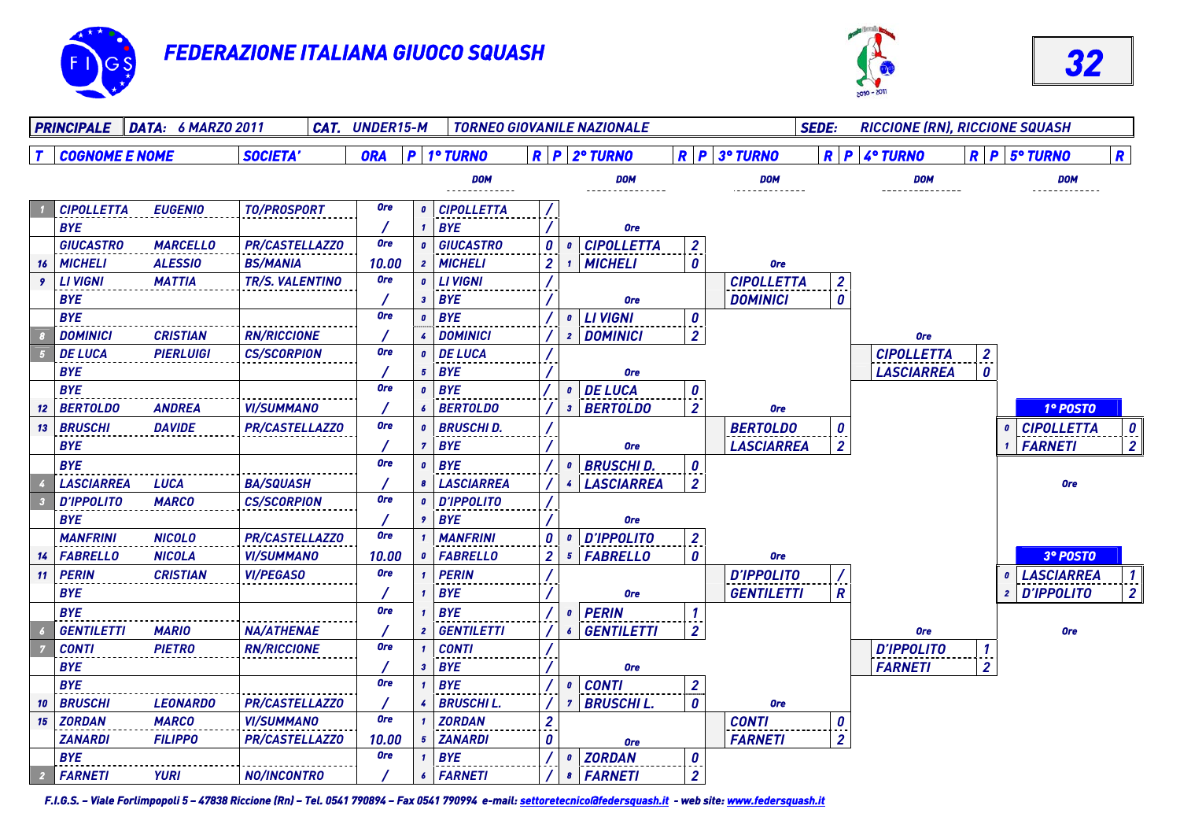





| <b>SEDE:</b><br>PRINCIPALE DATA: 6 MARZO 2011<br><b>CAT. UNDER15-M</b><br><b>TORNEO GIOVANILE NAZIONALE</b><br><b>RICCIONE (RN), RICCIONE SQUASH</b> |                                     |                        |            |                           |                   |  |                         |                                             |                       |                   |  |                                                         |                    |                |                                       |                  |
|------------------------------------------------------------------------------------------------------------------------------------------------------|-------------------------------------|------------------------|------------|---------------------------|-------------------|--|-------------------------|---------------------------------------------|-----------------------|-------------------|--|---------------------------------------------------------|--------------------|----------------|---------------------------------------|------------------|
|                                                                                                                                                      | <b>COGNOME E NOME</b>               | <b>SOCIETA'</b>        | <b>ORA</b> |                           | P   1° TURNO      |  |                         | $R$ $P$ $2°$ TURNO                          |                       | $R$ $P$ 3° TURNO  |  |                                                         | $R$ $P$ $4°$ TURNO |                | $R$ $P$ $5^{\circ}$ TURNO             | $\mathbf R$      |
|                                                                                                                                                      |                                     |                        |            |                           | <b>DOM</b>        |  |                         | <b>DOM</b>                                  |                       | <b>DOM</b>        |  |                                                         | <b>DOM</b>         |                | <b>DOM</b><br>.                       |                  |
|                                                                                                                                                      | <b>CIPOLLETTA</b><br><b>EUGENIO</b> | <b>TO/PROSPORT</b>     | <b>Ore</b> | $\boldsymbol{0}$          | <b>CIPOLLETTA</b> |  |                         |                                             |                       |                   |  |                                                         |                    |                |                                       |                  |
|                                                                                                                                                      | <b>BYE</b>                          |                        |            | -1                        | <b>BYE</b>        |  |                         | <b>Ore</b>                                  |                       |                   |  |                                                         |                    |                |                                       |                  |
|                                                                                                                                                      | <b>GIUCASTRO</b><br><b>MARCELLO</b> | <b>PR/CASTELLAZZO</b>  | <b>Ore</b> | $\boldsymbol{0}$          | <b>GIUCASTRO</b>  |  | $\boldsymbol{\theta}$   | <b>CIPOLLETTA</b><br>$\mathbf{0}$           | $\mathbf{2}$          |                   |  |                                                         |                    |                |                                       |                  |
| 16                                                                                                                                                   | <b>ALESSIO</b><br><b>MICHELI</b>    | <b>BS/MANIA</b>        | 10.00      | $\boldsymbol{z}$          | <b>MICHELI</b>    |  | 2                       | <b>MICHELI</b><br>$\mathbf{1}$              | 0                     | <b>Ore</b>        |  |                                                         |                    |                |                                       |                  |
| 9.                                                                                                                                                   | <b>LIVIGNI</b><br><b>MATTIA</b>     | <b>TR/S. VALENTINO</b> | <b>Ore</b> | $\boldsymbol{0}$          | <b>LIVIGNI</b>    |  |                         |                                             |                       | <b>CIPOLLETTA</b> |  | $\boldsymbol{z}$                                        |                    |                |                                       |                  |
|                                                                                                                                                      | <b>BYE</b>                          |                        |            | 3                         | <b>BYE</b>        |  |                         | <b>Ore</b>                                  |                       | <b>DOMINICI</b>   |  | 0                                                       |                    |                |                                       |                  |
|                                                                                                                                                      | <b>BYE</b>                          |                        | <b>Ore</b> | $\mathbf{0}$              | <b>BYE</b>        |  |                         | <b>LIVIGNI</b><br>$\boldsymbol{o}$          | $\boldsymbol{\theta}$ |                   |  |                                                         |                    |                |                                       |                  |
|                                                                                                                                                      | <b>DOMINICI</b><br><b>CRISTIAN</b>  | <b>RN/RICCIONE</b>     |            |                           | <b>DOMINICI</b>   |  |                         | 2 DOMINICI                                  | $\overline{2}$        |                   |  |                                                         | <b>Ore</b>         |                |                                       |                  |
|                                                                                                                                                      | <b>DE LUCA</b><br><b>PIERLUIGI</b>  | <b>CS/SCORPION</b>     | <b>Ore</b> |                           | <b>DE LUCA</b>    |  |                         |                                             |                       |                   |  |                                                         | <b>CIPOLLETTA</b>  | $\overline{2}$ |                                       |                  |
|                                                                                                                                                      | <b>BYE</b>                          |                        |            | 5                         | <b>BYE</b>        |  |                         | <b>Ore</b>                                  |                       |                   |  |                                                         | <b>LASCIARREA</b>  | 0              |                                       |                  |
|                                                                                                                                                      | <b>BYE</b>                          |                        | <b>Ore</b> | $\boldsymbol{0}$          | <b>BYE</b>        |  |                         | <b>DE LUCA</b><br>$\mathbf{0}$              | $\boldsymbol{\theta}$ |                   |  |                                                         |                    |                |                                       |                  |
| 12 <sup>7</sup>                                                                                                                                      | <b>BERTOLDO</b><br>ANDREA           | <b>VI/SUMMANO</b>      |            | 6                         | <b>BERTOLDO</b>   |  |                         | <b>BERTOLDO</b><br>3 <sup>7</sup>           | $\overline{2}$        | <b>Ore</b>        |  |                                                         |                    |                | 1º POSTO                              |                  |
| 13 <sup>7</sup>                                                                                                                                      | <b>BRUSCHI</b><br><b>DAVIDE</b>     | <b>PR/CASTELLAZZO</b>  | <b>Ore</b> | $\mathbf{a}$              | <b>BRUSCHID.</b>  |  |                         |                                             |                       | <b>BERTOLDO</b>   |  | $\boldsymbol{0}$                                        |                    |                | <b>CIPOLLETTA</b><br>$\boldsymbol{0}$ | $\boldsymbol{0}$ |
|                                                                                                                                                      | <b>BYE</b>                          |                        |            | 7                         | <b>BYE</b>        |  |                         | <b>Ore</b>                                  |                       | <b>LASCIARREA</b> |  | $\overline{2}$                                          |                    |                | <b>FARNETI</b><br>1                   | $\overline{2}$   |
|                                                                                                                                                      | <b>BYE</b>                          |                        | <b>Ore</b> | $\boldsymbol{0}$          | <b>BYE</b>        |  |                         | <b>BRUSCHI D.</b><br>$\mathbf{0}$           | $\boldsymbol{\theta}$ |                   |  |                                                         |                    |                |                                       |                  |
|                                                                                                                                                      | <b>LASCIARREA</b><br><b>LUCA</b>    | <b>BA/SQUASH</b>       |            | 8                         | <b>LASCIARREA</b> |  |                         | <b>LASCIARREA</b><br>$\mathbf{4}$           | $\overline{2}$        |                   |  |                                                         |                    |                | <b>Ore</b>                            |                  |
|                                                                                                                                                      | <b>D'IPPOLITO</b><br><b>MARCO</b>   | <b>CS/SCORPION</b>     | <b>Ore</b> | $\mathbf{a}$              | <b>D'IPPOLITO</b> |  |                         |                                             |                       |                   |  |                                                         |                    |                |                                       |                  |
|                                                                                                                                                      | <b>BYE</b>                          |                        |            | $\cdot$                   | <b>BYE</b>        |  |                         | <b>Ore</b>                                  |                       |                   |  |                                                         |                    |                |                                       |                  |
|                                                                                                                                                      | <b>MANFRINI</b><br><b>NICOLO</b>    | <b>PR/CASTELLAZZO</b>  | <b>Ore</b> |                           | <b>MANFRINI</b>   |  | 0                       | <b>D'IPPOLITO</b><br>$\mathbf{0}$           | $\overline{2}$        |                   |  |                                                         |                    |                |                                       |                  |
|                                                                                                                                                      | <b>FABRELLO</b><br><b>NICOLA</b>    | <b>VI/SUMMANO</b>      | 10.00      | $\boldsymbol{0}$          | <b>FABRELLO</b>   |  | $\overline{2}$          | <b>FABRELLO</b><br>5 <sub>1</sub>           | 0                     | <b>Ore</b>        |  |                                                         |                    |                | 3º POSTO                              |                  |
| 11                                                                                                                                                   | <b>PERIN</b><br><b>CRISTIAN</b>     | <b>VI/PEGASO</b>       | <b>Ore</b> |                           | <b>PERIN</b>      |  |                         |                                             |                       | <b>D'IPPOLITO</b> |  |                                                         |                    |                | <b>LASCIARREA</b><br>$\boldsymbol{0}$ | $1\vert$         |
|                                                                                                                                                      | <b>BYE</b>                          |                        |            |                           | <b>BYE</b>        |  |                         | <b>Ore</b>                                  |                       | <b>GENTILETTI</b> |  | R                                                       |                    |                | <b>D'IPPOLITO</b><br>$\overline{2}$   | $\overline{2}$   |
|                                                                                                                                                      | <b>BYE</b>                          |                        | <b>Ore</b> |                           | <b>BYE</b>        |  |                         | <b>PERIN</b><br>$\boldsymbol{0}$            |                       |                   |  |                                                         |                    |                |                                       |                  |
|                                                                                                                                                      | <b>MARIO</b><br><b>GENTILETTI</b>   | <b>NA/ATHENAE</b>      |            | $\boldsymbol{\mathsf{2}}$ | <b>GENTILETTI</b> |  |                         | <b>GENTILETTI</b><br>$\epsilon$             | $\overline{2}$        |                   |  |                                                         | <b>Ore</b>         |                | <b>Ore</b>                            |                  |
|                                                                                                                                                      | <b>CONTI</b><br><b>PIETRO</b>       | <b>RN/RICCIONE</b>     | <b>Ore</b> |                           | <b>CONTI</b>      |  |                         |                                             |                       |                   |  |                                                         | <b>D'IPPOLITO</b>  | $\mathbf{1}$   |                                       |                  |
|                                                                                                                                                      | <b>BYE</b>                          |                        |            | $\boldsymbol{\mathsf{3}}$ | <b>BYE</b>        |  |                         | <b>Ore</b>                                  |                       |                   |  |                                                         | <b>FARNETI</b>     | $\overline{2}$ |                                       |                  |
|                                                                                                                                                      | <b>BYE</b>                          |                        | <b>Ore</b> |                           | <b>BYE</b>        |  |                         | <b>CONTI</b><br>$\mathbf{0}$                | $\overline{2}$        |                   |  |                                                         |                    |                |                                       |                  |
| 10                                                                                                                                                   | <b>BRUSCHI</b><br><b>LEONARDO</b>   | <b>PR/CASTELLAZZO</b>  |            |                           | <b>BRUSCHI L.</b> |  |                         | <b>BRUSCHI L.</b><br>$\mathbf{7}$           | 0                     | <b>Ore</b>        |  |                                                         |                    |                |                                       |                  |
| 15                                                                                                                                                   | <b>ZORDAN</b><br><b>MARCO</b>       | <b>VI/SUMMANO</b>      | <b>Ore</b> |                           | <b>ZORDAN</b>     |  | $\overline{\mathbf{c}}$ |                                             |                       | <b>CONTI</b>      |  |                                                         |                    |                |                                       |                  |
|                                                                                                                                                      | <b>ZANARDI</b><br><b>FILIPPO</b>    | PR/CASTELLAZZ0         | 10.00      | 5                         | <b>ZANARDI</b>    |  | 0                       |                                             |                       | <b>FARNETI</b>    |  | $\begin{array}{c} \mathbf{0} \\ \mathbf{2} \end{array}$ |                    |                |                                       |                  |
|                                                                                                                                                      | <b>BYE</b>                          |                        | <b>Ore</b> |                           | <b>BYE</b>        |  |                         | <b>Ore</b><br><b>ZORDAN</b><br>$\mathbf{0}$ |                       |                   |  |                                                         |                    |                |                                       |                  |
|                                                                                                                                                      | <b>FARNETI</b><br><b>YURI</b>       | <b>NO/INCONTRO</b>     |            | $\boldsymbol{\epsilon}$   | <b>FARNETI</b>    |  |                         | <b>8</b> FARNETI                            | $\frac{0}{2}$         |                   |  |                                                         |                    |                |                                       |                  |
|                                                                                                                                                      |                                     |                        |            |                           |                   |  |                         |                                             |                       |                   |  |                                                         |                    |                |                                       |                  |

*F.I.G.S. – Viale Forlimpopoli 5 – 47838 Riccione (Rn) – Tel. 0541 790894 – Fax 0541 790994 e-mail: settoretecnico@federsquash.it - web site: www.federsquash.it*